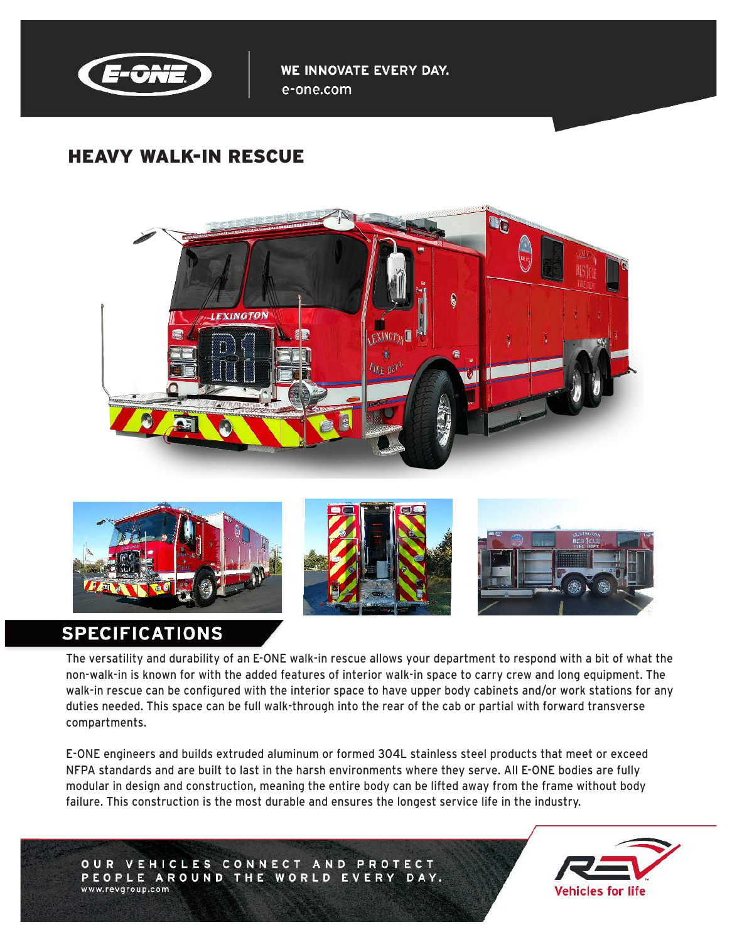

WE INNOVATE EVERY DAY. e-one.com

# HEAVY WALK-IN RESCUE









# **SPECIFICATIONS**

The versatility and durability of an E-ONE walk-in rescue allows your department to respond with a bit of what the non-walk-in is known for with the added features of interior walk-in space to carry crew and long equipment. The walk-in rescue can be configured with the interior space to have upper body cabinets and/or work stations for any duties needed. This space can be full walk-through into the rear of the cab or partial with forward transverse compartments.

E-ONE engineers and builds extruded aluminum or formed 304L stainless steel products that meet or exceed NFPA standards and are built to last in the harsh environments where they serve. All E-ONE bodies are fully modular in design and construction, meaning the entire body can be lifted away from the frame without body failure. This construction is the most durable and ensures the longest service life in the industry.

OUR VEHICLES CONNECT AND PROTECT PEOPLE AROUND THE WORLD EVERY DAY. www.revgroup.com